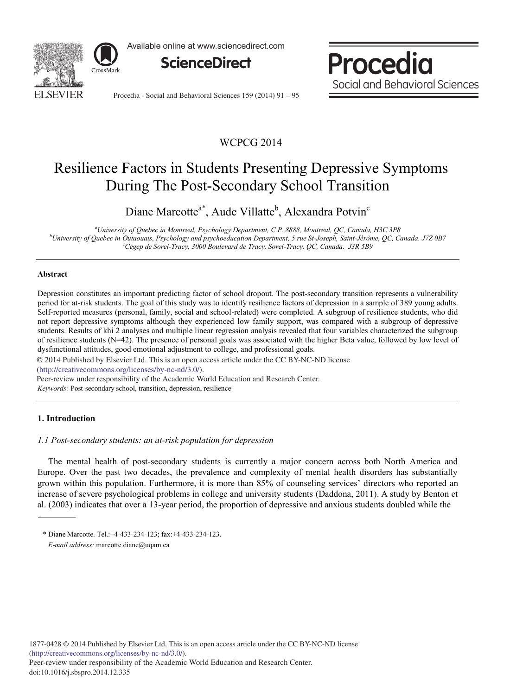

Available online at www.sciencedirect.com



Procedia Social and Behavioral Sciences

Procedia - Social and Behavioral Sciences 159 (2014) 91 – 95

# WCPCG 2014

# Resilience Factors in Students Presenting Depressive Symptoms During The Post-Secondary School Transition

Diane Marcotte<sup>a\*</sup>, Aude Villatte<sup>b</sup>, Alexandra Potvin<sup>c</sup>

*a University of Quebec in Montreal, Psychology Department, C.P. 8888, Montreal, QC, Canada, H3C 3P8 b University of Quebec in Outaouais, Psychology and psychoeducation Department, 5 rue St-Joseph, Saint-Jérôme, QC, Canada. J7Z 0B7 c Cégep de Sorel-Tracy, 3000 Boulevard de Tracy, Sorel-Tracy, QC, Canada. J3R 5B9*

#### **Abstract**

Depression constitutes an important predicting factor of school dropout. The post-secondary transition represents a vulnerability period for at-risk students. The goal of this study was to identify resilience factors of depression in a sample of 389 young adults. Self-reported measures (personal, family, social and school-related) were completed. A subgroup of resilience students, who did not report depressive symptoms although they experienced low family support, was compared with a subgroup of depressive students. Results of khi 2 analyses and multiple linear regression analysis revealed that four variables characterized the subgroup of resilience students  $(N=42)$ . The presence of personal goals was associated with the higher Beta value, followed by low level of dysfunctional attitudes, good emotional adjustment to college, and professional goals.

© 2014 Published by Elsevier Ltd. This is an open access article under the CC BY-NC-ND license (http://creativecommons.org/licenses/by-nc-nd/3.0/).

*Keywords:* Post-secondary school, transition, depression, resilience Peer-review under responsibility of the Academic World Education and Research Center.

## **1. Introduction**

# *1.1 Post-secondary students: an at-risk population for depression*

The mental health of post-secondary students is currently a major concern across both North America and Europe. Over the past two decades, the prevalence and complexity of mental health disorders has substantially grown within this population. Furthermore, it is more than 85% of counseling services' directors who reported an increase of severe psychological problems in college and university students (Daddona, 2011). A study by Benton et al. (2003) indicates that over a 13-year period, the proportion of depressive and anxious students doubled while the

<sup>\*</sup> Diane Marcotte. Tel.:+4-433-234-123; fax:+4-433-234-123. *E-mail address:* marcotte.diane@uqam.ca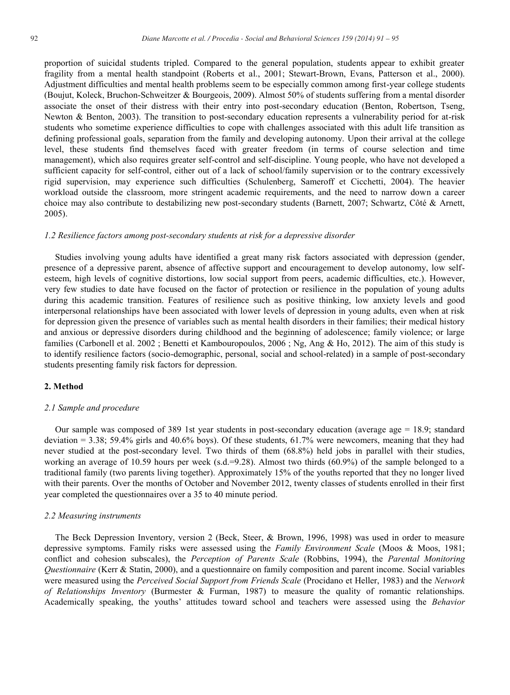proportion of suicidal students tripled. Compared to the general population, students appear to exhibit greater fragility from a mental health standpoint (Roberts et al., 2001; Stewart-Brown, Evans, Patterson et al., 2000). Adjustment difficulties and mental health problems seem to be especially common among first-year college students (Boujut, Koleck, Bruchon-Schweitzer & Bourgeois, 2009). Almost 50% of students suffering from a mental disorder associate the onset of their distress with their entry into post-secondary education (Benton, Robertson, Tseng, Newton & Benton, 2003). The transition to post-secondary education represents a vulnerability period for at-risk students who sometime experience difficulties to cope with challenges associated with this adult life transition as defining professional goals, separation from the family and developing autonomy. Upon their arrival at the college level, these students find themselves faced with greater freedom (in terms of course selection and time management), which also requires greater self-control and self-discipline. Young people, who have not developed a sufficient capacity for self-control, either out of a lack of school/family supervision or to the contrary excessively rigid supervision, may experience such difficulties (Schulenberg, Sameroff et Cicchetti, 2004). The heavier workload outside the classroom, more stringent academic requirements, and the need to narrow down a career choice may also contribute to destabilizing new post-secondary students (Barnett, 2007; Schwartz, Côté & Arnett, 2005).

#### *1.2 Resilience factors among post-secondary students at risk for a depressive disorder*

Studies involving young adults have identified a great many risk factors associated with depression (gender, presence of a depressive parent, absence of affective support and encouragement to develop autonomy, low selfesteem, high levels of cognitive distortions, low social support from peers, academic difficulties, etc.). However, very few studies to date have focused on the factor of protection or resilience in the population of young adults during this academic transition. Features of resilience such as positive thinking, low anxiety levels and good interpersonal relationships have been associated with lower levels of depression in young adults, even when at risk for depression given the presence of variables such as mental health disorders in their families; their medical history and anxious or depressive disorders during childhood and the beginning of adolescence; family violence; or large families (Carbonell et al. 2002 ; Benetti et Kambouropoulos, 2006 ; Ng, Ang & Ho, 2012). The aim of this study is to identify resilience factors (socio-demographic, personal, social and school-related) in a sample of post-secondary students presenting family risk factors for depression.

#### **2. Method**

#### *2.1 Sample and procedure*

Our sample was composed of 389 1st year students in post-secondary education (average age = 18.9; standard deviation = 3.38; 59.4% girls and 40.6% boys). Of these students, 61.7% were newcomers, meaning that they had never studied at the post-secondary level. Two thirds of them (68.8%) held jobs in parallel with their studies, working an average of 10.59 hours per week (s.d.=9.28). Almost two thirds (60.9%) of the sample belonged to a traditional family (two parents living together). Approximately 15% of the youths reported that they no longer lived with their parents. Over the months of October and November 2012, twenty classes of students enrolled in their first year completed the questionnaires over a 35 to 40 minute period.

#### *2.2 Measuring instruments*

The Beck Depression Inventory, version 2 (Beck, Steer, & Brown, 1996, 1998) was used in order to measure depressive symptoms. Family risks were assessed using the *Family Environment Scale* (Moos & Moos, 1981; conflict and cohesion subscales), the *Perception of Parents Scale* (Robbins, 1994), the *Parental Monitoring Questionnaire* (Kerr & Statin, 2000), and a questionnaire on family composition and parent income. Social variables were measured using the *Perceived Social Support from Friends Scale* (Procidano et Heller, 1983) and the *Network of Relationships Inventory* (Burmester & Furman, 1987) to measure the quality of romantic relationships. Academically speaking, the youths' attitudes toward school and teachers were assessed using the *Behavior*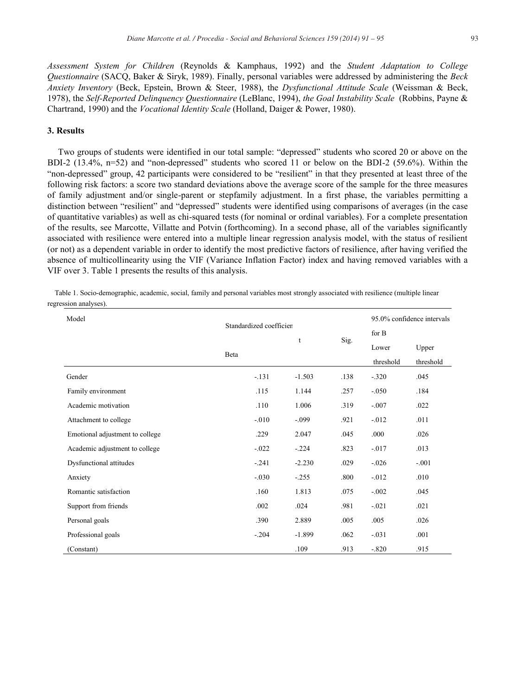*Assessment System for Children* (Reynolds & Kamphaus, 1992) and the *Student Adaptation to College Questionnaire* (SACQ, Baker & Siryk, 1989). Finally, personal variables were addressed by administering the *Beck Anxiety Inventory* (Beck, Epstein, Brown & Steer, 1988), the *Dysfunctional Attitude Scale* (Weissman & Beck, 1978), the *Self-Reported Delinquency Questionnaire* (LeBlanc, 1994), *the Goal Instability Scale* (Robbins, Payne & Chartrand, 1990) and the *Vocational Identity Scale* (Holland, Daiger & Power, 1980).

### **3. Results**

Two groups of students were identified in our total sample: "depressed" students who scored 20 or above on the BDI-2 (13.4%, n=52) and "non-depressed" students who scored 11 or below on the BDI-2 (59.6%). Within the "non-depressed" group, 42 participants were considered to be "resilient" in that they presented at least three of the following risk factors: a score two standard deviations above the average score of the sample for the three measures of family adjustment and/or single-parent or stepfamily adjustment. In a first phase, the variables permitting a distinction between "resilient" and "depressed" students were identified using comparisons of averages (in the case of quantitative variables) as well as chi-squared tests (for nominal or ordinal variables). For a complete presentation of the results, see Marcotte, Villatte and Potvin (forthcoming). In a second phase, all of the variables significantly associated with resilience were entered into a multiple linear regression analysis model, with the status of resilient (or not) as a dependent variable in order to identify the most predictive factors of resilience, after having verified the absence of multicollinearity using the VIF (Variance Inflation Factor) index and having removed variables with a VIF over 3. Table 1 presents the results of this analysis.

 Table 1. Socio-demographic, academic, social, family and personal variables most strongly associated with resilience (multiple linear regression analyses).

| Model                           | Standardized coefficien |          |      |           | 95.0% confidence intervals |
|---------------------------------|-------------------------|----------|------|-----------|----------------------------|
|                                 |                         | t        | Sig. | for $B$   |                            |
|                                 | Beta                    |          |      | Lower     | Upper                      |
|                                 |                         |          |      | threshold | threshold                  |
| Gender                          | $-.131$                 | $-1.503$ | .138 | $-.320$   | .045                       |
| Family environment              | .115                    | 1.144    | .257 | $-.050$   | .184                       |
| Academic motivation             | .110                    | 1.006    | .319 | $-.007$   | .022                       |
| Attachment to college           | $-.010$                 | $-.099$  | .921 | $-0.012$  | .011                       |
| Emotional adjustment to college | .229                    | 2.047    | .045 | .000      | .026                       |
| Academic adjustment to college  | $-.022$                 | $-.224$  | .823 | $-0.017$  | .013                       |
| Dysfunctional attitudes         | $-.241$                 | $-2.230$ | .029 | $-0.026$  | $-.001$                    |
| Anxiety                         | $-.030$                 | $-.255$  | .800 | $-.012$   | .010                       |
| Romantic satisfaction           | .160                    | 1.813    | .075 | $-.002$   | .045                       |
| Support from friends            | .002                    | .024     | .981 | $-.021$   | .021                       |
| Personal goals                  | .390                    | 2.889    | .005 | .005      | .026                       |
| Professional goals              | $-.204$                 | $-1.899$ | .062 | $-.031$   | .001                       |
| (Constant)                      |                         | .109     | .913 | $-.820$   | .915                       |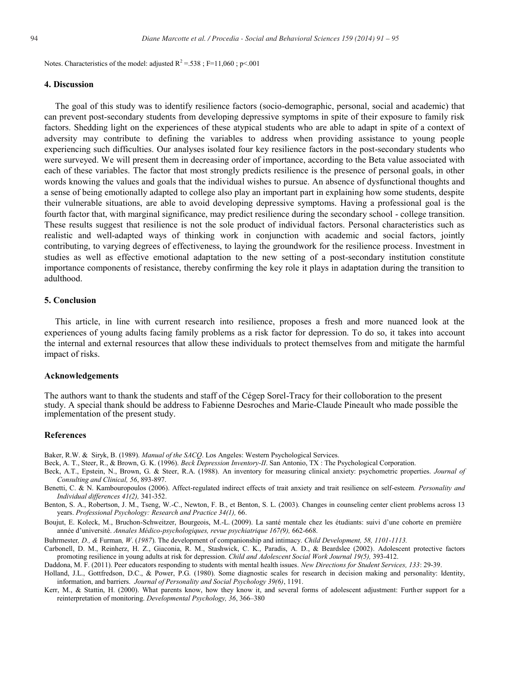Notes. Characteristics of the model: adjusted  $R^2 = 538$ ; F=11,060; p<.001

#### **4. Discussion**

The goal of this study was to identify resilience factors (socio-demographic, personal, social and academic) that can prevent post-secondary students from developing depressive symptoms in spite of their exposure to family risk factors. Shedding light on the experiences of these atypical students who are able to adapt in spite of a context of adversity may contribute to defining the variables to address when providing assistance to young people experiencing such difficulties. Our analyses isolated four key resilience factors in the post-secondary students who were surveyed. We will present them in decreasing order of importance, according to the Beta value associated with each of these variables. The factor that most strongly predicts resilience is the presence of personal goals, in other words knowing the values and goals that the individual wishes to pursue. An absence of dysfunctional thoughts and a sense of being emotionally adapted to college also play an important part in explaining how some students, despite their vulnerable situations, are able to avoid developing depressive symptoms. Having a professional goal is the fourth factor that, with marginal significance, may predict resilience during the secondary school - college transition. These results suggest that resilience is not the sole product of individual factors. Personal characteristics such as realistic and well-adapted ways of thinking work in conjunction with academic and social factors, jointly contributing, to varying degrees of effectiveness, to laying the groundwork for the resilience process. Investment in studies as well as effective emotional adaptation to the new setting of a post-secondary institution constitute importance components of resistance, thereby confirming the key role it plays in adaptation during the transition to adulthood.

#### **5. Conclusion**

This article, in line with current research into resilience, proposes a fresh and more nuanced look at the experiences of young adults facing family problems as a risk factor for depression. To do so, it takes into account the internal and external resources that allow these individuals to protect themselves from and mitigate the harmful impact of risks.

#### **Acknowledgements**

The authors want to thank the students and staff of the Cégep Sorel-Tracy for their colloboration to the present study. A special thank should be address to Fabienne Desroches and Marie-Claude Pineault who made possible the implementation of the present study.

#### **References**

Baker, R.W. & Siryk, B. (1989). *Manual of the SACQ*. Los Angeles: Western Psychological Services.

Beck, A. T., Steer, R., & Brown, G. K. (1996). *Beck Depression Inventory-II*. San Antonio, TX : The Psychological Corporation.

- Beck, A.T., Epstein, N., Brown, G. & Steer, R.A. (1988). An inventory for measuring clinical anxiety: psychometric properties. *Journal of Consulting and Clinical, 56*, 893-897.
- Benetti, C. & N. Kambouropoulos (2006). Affect-regulated indirect effects of trait anxiety and trait resilience on self-esteem*. Personality and Individual differences 41(2),* 341-352.
- Benton, S. A., Robertson, J. M., Tseng, W.-C., Newton, F. B., et Benton, S. L. (2003). Changes in counseling center client problems across 13 years. *Professional Psychology: Research and Practice 34(1),* 66.

Boujut, E. Koleck, M., Bruchon-Schweitzer, Bourgeois, M.-L. (2009). La santé mentale chez les étudiants: suivi d'une cohorte en première année d'université. *Annales Médico-psychologiques, revue psychiatrique 167(9),* 662-668.

Buhrmester*, D., &* Furman*, W*. (*1987*). The development of companionship and intimacy. *Child Development, 58, 1101-1113.*

Carbonell, D. M., Reinherz, H. Z., Giaconia, R. M., Stashwick, C. K., Paradis, A. D., & Beardslee (2002). Adolescent protective factors promoting resilience in young adults at risk for depression. *Child and Adolescent Social Work Journal 19(5),* 393-412.

Daddona, M. F. (2011). Peer educators responding to students with mental health issues. *New Directions for Student Services, 133*: 29-39.

Holland, J.L., Gottfredson, D.C., & Power, P.G. (1980). Some diagnostic scales for research in decision making and personality: Identity, information, and barriers. *Journal of Personality and Social Psychology 39(6)*, 1191.

Kerr, M., & Stattin, H. (2000). What parents know, how they know it, and several forms of adolescent adjustment: Further support for a reinterpretation of monitoring. *Developmental Psychology, 36*, 366–380